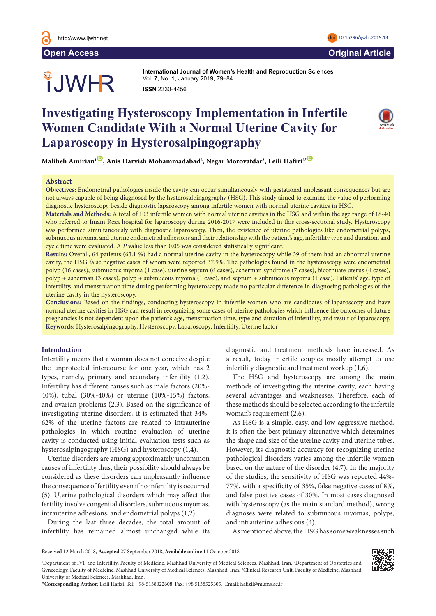

# **OUWHR**

**International Journal of Women's Health and Reproduction Sciences International Journal of Women's Health and Reproduction Sciences**  Vol. 7, No. 1, January 2019, 79–84 Vol. 3, No. 3, July 2015, 126–131 **ISSN** 2330- 4456 **ISSN** 2330- 4456

## **Investigating Hysteroscopy Implementation in Infertile Women Candidate With a Normal Uterine Cavity for** Laparoscopy in Hysterosalpingography



 $\mathbf{M}$ aliheh Amirian<sup>ı (D</sup>, Anis Darvish Mohammadabad<sup>2</sup>, Negar Morovatdar<sup>3</sup>, Leili Hafizi<sup>2\* (D</sup> We are 'extraordinary conditions conditions created by  $\mathcal{L}_{\mathbf{p}}$ 

#### **Abstract**  $\bf A$ bstract $\bf A$ l kinds of violence and subsequent gynecologic and obsequent gynecologic and subsequent gynecological and obsequent gynecologic and obsequent gynecological and obsequent gynecological and  $\bf A$

Objectives: Endometrial pathologies inside the cavity can occur simultaneously with gestational unpleasant consequences but are not always capable of being diagnosed by the hysterosalpingography (HSG). This study aimed to examine the value of performing diagnostic hysteroscopy beside diagnostic laparoscopy among infertile women with normal uterine cavities in HSG.

Materials and Methods: A total of 103 infertile women with normal uterine cavities in the HSG and within the age range of 18-40 who referred to Imam Reza hospital for laparoscopy during 2016-2017 were included in this cross-sectional study. Hysteroscopy was performed simultaneously with diagnostic laparoscopy. Then, the existence of uterine pathologies like endometrial polyps, submucous myoma, and uterine endometrial adhesions and their relationship with the patient's age, infertility type and duration, and cycle time were evaluated. A *P* value less than 0.05 was considered statistically significant.

**Results:** Overall, 64 patients (63.1 %) had a normal uterine cavity in the hysteroscopy while 39 of them had an abnormal uterine cavity, the HSG false negative cases of whom were reported 37.9%. The pathologies found in the hysteroscopy were endometrial cavity, the HSG false negative cases of whom were reported 37.9%. The pathologies found in the hy polyp (16 cases), submucous myoma (1 case), uterine septum (6 cases), asherman syndrome (7 cases), bicornuate uterus (4 cases), polyp + asherman (3 cases), polyp + submucous myoma (1 case), and septum + submucous myoma (1 case). Patients' age, type of performant of cases), performing the statements in the women of the women. The women in diagnosing pathologies of the infertility, and menstruation time during performing hysteroscopy made no particular difference in diagn uterine cavity in the hysteroscopy.  $\frac{m}{n}$  here in the effect direct time during  $\frac{m}{n}$  is  $\frac{m}{n}$ on mode no perticular difference in discussing nathelections. liquid the particular difference in diagno

Conclusions: Based on the findings, conducting hysteroscopy in infertile women who are candidates of laparoscopy and have normal uterine cavities in HSG can result in recognizing some cases of uterine pathologies which influence the outcomes of future pregnancies is not dependent upon the patient's age, menstruation time, type and duration of infertility, and result of laparoscopy. Keywords: Hysterosalpingography, Hysteroscopy, Laparoscopy, Infertility, Uterine factor  $\mathbf{r}$ ing the problem of immigration of  $\mathbf{r}$  in  $\mathbf{r}$  is the problem of  $\mathbf{r}$ cause the migration of the migration of the migration of the migration of the migration of the migration of the migration of the migration of the migration of the migration of the migration of the migration of the migratio  $t_{\text{t}}$  the the health services historical services historical services historical services.

### **Introduction**

Infertility means that a woman does not conceive despite the unprotected intercourse for one year, which has 2 types, namely, primary and secondary infertility (1,2). Infertility has different causes such as male factors (20%-40%), tubal (30%-40%) or uterine (10%-15%) factors, and ovarian problems (2,3). Based on the significance of investigating uterine disorders, it is estimated that 34%-62% of the uterine factors are related to intrauterine pathologies in which routine evaluation of uterine pathologies in which fourthe evaluation of aternic<br>cavity is conducted using initial evaluation tests such as hysterosalpingography (HSG) and hysteroscopy  $(1,4)$ . the most and conducted using initial evaluation tests such

Uterine disorders are among approximately uncommon causes of infertility thus, their possibility should always be considered as these disorders can unpleasantly influence the consequence of fertility even if no infertility is occurred (5). Uterine pathological disorders which may affect the fertility involve congenital disorders, submucous myomas,  $intrauterine\ adhesions,$  and  $endometrial\ polyps\ (1,2).$ 

During the last three decades, the total amount of and intrauterine adhesions (4 infertility has remained almost unchanged while its

diagnostic and treatment methods have increased. As a result, today infertile couples mostly attempt to use infertility diagnostic and treatment workup  $(1,6)$ .  $\frac{m}{2}$ .  $\frac{1}{2}$ .  $\frac{1}{2}$ .  $\frac{1}{2}$ .  $\frac{1}{2}$ .  $\frac{1}{2}$ .  $\frac{1}{2}$ .  $\frac{1}{2}$ .  $\frac{1}{2}$ .  $\frac{1}{2}$ .  $\frac{1}{2}$ .  $\frac{1}{2}$ .  $\frac{1}{2}$ .  $\frac{1}{2}$ .  $\frac{1}{2}$ .  $\frac{1}{2}$ .  $\frac{1}{2}$ .  $\frac{1}{2}$ .  $\frac{1}{2}$ .  $\frac{1}{2}$ .

The HSG and hysteroscopy are among the main methods of investigating the uterine cavity, each having several advantages and weaknesses. Therefore, each of these methods should be selected according to the infertile woman's requirement  $(2,6)$ .

As HSG is a simple, easy, and low-aggressive method, it is often the best primary alternative which determines the shape and size of the uterine cavity and uterine tubes. However, its diagnostic accuracy for recognizing uterine pathological disorders varies among the infertile women based on the nature of the disorder  $(4,7)$ . In the majority of the studies, the sensitivity of HSG was reported 44%-77%, with a specificity of 35%, false negative cases of 8%, and false positive cases of 30%. In most cases diagnosed with hysteroscopy (as the main standard method), wrong yps (1,2). Committees all diagnoses were related to submucous myomas, polyps, and intrauterine adhesions (4). inc shape and size of the therme eavily and their

As mentioned above, the HSG has some weaknesses such

**Received** 12 March 2018, **Accepted** 27 September 2018, **Available online** 11 October 2018

\***Corresponding Author:** Leili Hafizi, Tel: +98-5138022608, Fax: +98 5138525305, Email: hafizil@mums.ac.ir

<sup>1</sup>Department of IVF and Infertility, Faculty of Medicine, Mashhad University of Medical Sciences, Mashhad, Iran. <sup>2</sup>Department of Obstetrics and Gynecology, Faculty of Medicine, Mashhad University of Medical Sciences, Mashhad, Iran. 3 Clinical Research Unit, Faculty of Medicine, Mashhad University of Medical Sciences, Mashhad, Iran.

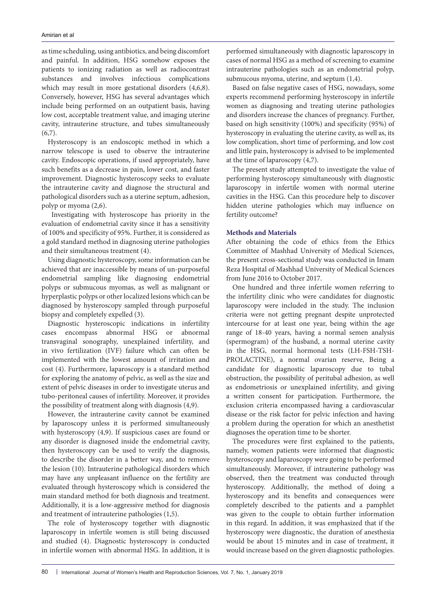as time scheduling, using antibiotics, and being discomfort and painful. In addition, HSG somehow exposes the patients to ionizing radiation as well as radiocontrast substances and involves infectious complications which may result in more gestational disorders (4,6,8). Conversely, however, HSG has several advantages which include being performed on an outpatient basis, having low cost, acceptable treatment value, and imaging uterine cavity, intrauterine structure, and tubes simultaneously  $(6,7)$ .

Hysteroscopy is an endoscopic method in which a narrow telescope is used to observe the intrauterine cavity. Endoscopic operations, if used appropriately, have such benefits as a decrease in pain, lower cost, and faster improvement. Diagnostic hysteroscopy seeks to evaluate the intrauterine cavity and diagnose the structural and pathological disorders such as a uterine septum, adhesion, polyp or myoma (2,6).

 Investigating with hysteroscope has priority in the evaluation of endometrial cavity since it has a sensitivity of 100% and specificity of 95%. Further, it is considered as a gold standard method in diagnosing uterine pathologies and their simultaneous treatment (4).

Using diagnostic hysteroscopy, some information can be achieved that are inaccessible by means of un-purposeful endometrial sampling like diagnosing endometrial polyps or submucous myomas, as well as malignant or hyperplastic polyps or other localized lesions which can be diagnosed by hysteroscopy sampled through purposeful biopsy and completely expelled (3).

Diagnostic hysteroscopic indications in infertility cases encompass abnormal HSG or abnormal transvaginal sonography, unexplained infertility, and in vivo fertilization (IVF) failure which can often be implemented with the lowest amount of irritation and cost (4). Furthermore, laparoscopy is a standard method for exploring the anatomy of pelvic, as well as the size and extent of pelvic diseases in order to investigate uterus and tubo-peritoneal causes of infertility. Moreover, it provides the possibility of treatment along with diagnosis (4,9).

However, the intrauterine cavity cannot be examined by laparoscopy unless it is performed simultaneously with hysteroscopy (4,9). If suspicious cases are found or any disorder is diagnosed inside the endometrial cavity, then hysteroscopy can be used to verify the diagnosis, to describe the disorder in a better way, and to remove the lesion (10). Intrauterine pathological disorders which may have any unpleasant influence on the fertility are evaluated through hysteroscopy which is considered the main standard method for both diagnosis and treatment. Additionally, it is a low-aggressive method for diagnosis and treatment of intrauterine pathologies (1,5).

The role of hysteroscopy together with diagnostic laparoscopy in infertile women is still being discussed and studied (4). Diagnostic hysteroscopy is conducted in infertile women with abnormal HSG. In addition, it is performed simultaneously with diagnostic laparoscopy in cases of normal HSG as a method of screening to examine intrauterine pathologies such as an endometrial polyp, submucous myoma, uterine, and septum (1,4).

Based on false negative cases of HSG, nowadays, some experts recommend performing hysteroscopy in infertile women as diagnosing and treating uterine pathologies and disorders increase the chances of pregnancy. Further, based on high sensitivity (100%) and specificity (95%) of hysteroscopy in evaluating the uterine cavity, as well as, its low complication, short time of performing, and low cost and little pain, hysteroscopy is advised to be implemented at the time of laparoscopy (4,7).

The present study attempted to investigate the value of performing hysteroscopy simultaneously with diagnostic laparoscopy in infertile women with normal uterine cavities in the HSG. Can this procedure help to discover hidden uterine pathologies which may influence on fertility outcome?

#### **Methods and Materials**

After obtaining the code of ethics from the Ethics Committee of Mashhad University of Medical Sciences, the present cross-sectional study was conducted in Imam Reza Hospital of Mashhad University of Medical Sciences from June 2016 to October 2017.

One hundred and three infertile women referring to the infertility clinic who were candidates for diagnostic laparoscopy were included in the study. The inclusion criteria were not getting pregnant despite unprotected intercourse for at least one year, being within the age range of 18-40 years, having a normal semen analysis (spermogram) of the husband, a normal uterine cavity in the HSG, normal hormonal tests (LH-FSH-TSH-PROLACTINE), a normal ovarian reserve, Being a candidate for diagnostic laparoscopy due to tubal obstruction, the possibility of peritubal adhesion, as well as endometriosis or unexplained infertility, and giving a written consent for participation. Furthermore, the exclusion criteria encompassed having a cardiovascular disease or the risk factor for pelvic infection and having a problem during the operation for which an anesthetist diagnoses the operation time to be shorter.

The procedures were first explained to the patients, namely, women patients were informed that diagnostic hysteroscopy and laparoscopy were going to be performed simultaneously. Moreover, if intrauterine pathology was observed, then the treatment was conducted through hysteroscopy. Additionally, the method of doing a hysteroscopy and its benefits and consequences were completely described to the patients and a pamphlet was given to the couple to obtain further information in this regard. In addition, it was emphasized that if the hysteroscopy were diagnostic, the duration of anesthesia would be about 15 minutes and in case of treatment, it would increase based on the given diagnostic pathologies.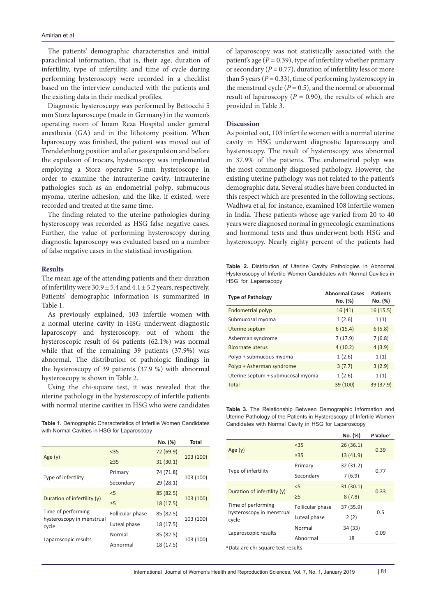The patients' demographic characteristics and initial paraclinical information, that is, their age, duration of infertility, type of infertility, and time of cycle during performing hysteroscopy were recorded in a checklist based on the interview conducted with the patients and the existing data in their medical profiles.

Diagnostic hysteroscopy was performed by Bettocchi 5 mm Storz laparoscope (made in Germany) in the women's operating room of Imam Reza Hospital under general anesthesia (GA) and in the lithotomy position. When laparoscopy was finished, the patient was moved out of Trendelenburg position and after gas expulsion and before the expulsion of trocars, hysteroscopy was implemented employing a Storz operative 5-mm hysteroscope in order to examine the intrauterine cavity. Intrauterine pathologies such as an endometrial polyp, submucous myoma, uterine adhesion, and the like, if existed, were recorded and treated at the same time.

The finding related to the uterine pathologies during hysteroscopy was recorded as HSG false negative cases. Further, the value of performing hysteroscopy during diagnostic laparoscopy was evaluated based on a number of false negative cases in the statistical investigation.

#### **Results**

The mean age of the attending patients and their duration of infertility were  $30.9 \pm 5.4$  and  $4.1 \pm 5.2$  years, respectively. Patients' demographic information is summarized in Table 1.

As previously explained, 103 infertile women with a normal uterine cavity in HSG underwent diagnostic laparoscopy and hysteroscopy, out of whom the hysteroscopic result of 64 patients (62.1%) was normal while that of the remaining 39 patients (37.9%) was abnormal. The distribution of pathologic findings in the hysteroscopy of 39 patients (37.9 %) with abnormal hysteroscopy is shown in Table 2.

Using the chi-square test, it was revealed that the uterine pathology in the hysteroscopy of infertile patients with normal uterine cavities in HSG who were candidates

**Table 1.** Demographic Characteristics of Infertile Women Candidates with Normal Cavities in HSG for Laparoscopy

|                                                          |                  | No. (%)   | Total     |
|----------------------------------------------------------|------------------|-----------|-----------|
| Age $(y)$                                                | < 35             | 72 (69.9) | 103 (100) |
|                                                          | $\geq$ 35        | 31(30.1)  |           |
| Type of infertility                                      | Primary          | 74 (71.8) | 103 (100) |
|                                                          | Secondary        | 29(28.1)  |           |
| Duration of infertility (y)                              | < 5              | 85 (82.5) |           |
|                                                          | $\geq$ 5         | 18(17.5)  | 103 (100) |
| Time of performing<br>hysteroscopy in menstrual<br>cycle | Follicular phase | 85 (82.5) |           |
|                                                          | Luteal phase     | 18 (17.5) | 103 (100) |
| Laparoscopic results                                     | Normal           | 85 (82.5) | 103 (100) |
|                                                          | Abnormal         | 18 (17.5) |           |
|                                                          |                  |           |           |

of laparoscopy was not statistically associated with the patient's age  $(P = 0.39)$ , type of infertility whether primary or secondary  $(P = 0.77)$ , duration of infertility less or more than 5 years ( $P = 0.33$ ), time of performing hysteroscopy in the menstrual cycle  $(P = 0.5)$ , and the normal or abnormal result of laparoscopy ( $P = 0.90$ ), the results of which are provided in Table 3.

#### **Discussion**

As pointed out, 103 infertile women with a normal uterine cavity in HSG underwent diagnostic laparoscopy and hysteroscopy. The result of hysteroscopy was abnormal in 37.9% of the patients. The endometrial polyp was the most commonly diagnosed pathology. However, the existing uterine pathology was not related to the patient's demographic data. Several studies have been conducted in this respect which are presented in the following sections. Wadhwa et al, for instance, examined 108 infertile women in India. These patients whose age varied from 20 to 40 years were diagnosed normal in gynecologic examinations and hormonal tests and thus underwent both HSG and hysteroscopy. Nearly eighty percent of the patients had

**Table 2.** Distribution of Uterine Cavity Pathologies in Abnormal Hysteroscopy of Infertile Women Candidates with Normal Cavities in HSG for Laparoscopy

| <b>Type of Pathology</b>          | <b>Abnormal Cases</b><br>No. (%) | <b>Patients</b><br>No. (%) |
|-----------------------------------|----------------------------------|----------------------------|
| Endometrial polyp                 | 16(41)                           | 16(15.5)                   |
| Submucosal myoma                  | 1(2.6)                           | 1(1)                       |
| Uterine septum                    | 6(15.4)                          | 6(5.8)                     |
| Asherman syndrome                 | 7(17.9)                          | 7(6.8)                     |
| <b>Bicornate uterus</b>           | 4(10.2)                          | 4(3.9)                     |
| Polyp + submucous myoma           | 1(2.6)                           | 1(1)                       |
| Polyp + Asherman syndrome         | 3(7.7)                           | 3(2.9)                     |
| Uterine septum + submucosal myoma | 1(2.6)                           | 1(1)                       |
| Total                             | 39 (100)                         | 39 (37.9)                  |

**Table 3.** The Relationship Between Demographic Information and Uterine Pathology of the Patients in Hysteroscopy of Infertile Women Candidates with Normal Cavity in HSG for Laparoscopy

|                                                          |                  | No. (%)   | $P$ Value <sup>a</sup> |
|----------------------------------------------------------|------------------|-----------|------------------------|
| Age $(y)$                                                | $35$             | 26(36.1)  | 0.39                   |
|                                                          | $\geq$ 35        | 13 (41.9) |                        |
| Type of infertility                                      | Primary          | 32 (31.2) | 0.77                   |
|                                                          | Secondary        | 7(6.9)    |                        |
| Duration of infertility (y)                              | < 5              | 31(30.1)  | 0.33                   |
|                                                          | $\geq$ 5         | 8(7.8)    |                        |
| Time of performing<br>hysteroscopy in menstrual<br>cycle | Follicular phase | 37 (35.9) | 0.5                    |
|                                                          | Luteal phase     | 2(2)      |                        |
| Laparoscopic results                                     | Normal           | 34 (33)   | 0.09                   |
|                                                          | Abnormal         | 18        |                        |

<sup>a</sup> Data are chi-square test results.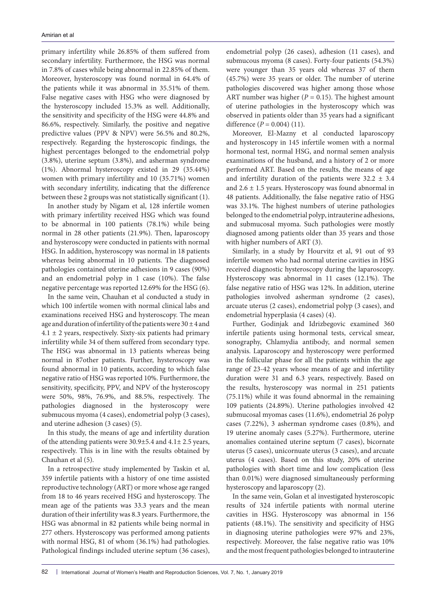primary infertility while 26.85% of them suffered from secondary infertility. Furthermore, the HSG was normal in 7.8% of cases while being abnormal in 22.85% of them. Moreover, hysteroscopy was found normal in 64.4% of the patients while it was abnormal in 35.51% of them. False negative cases with HSG who were diagnosed by the hysteroscopy included 15.3% as well. Additionally, the sensitivity and specificity of the HSG were 44.8% and 86.6%, respectively. Similarly, the positive and negative predictive values (PPV & NPV) were 56.5% and 80.2%, respectively. Regarding the hysteroscopic findings, the highest percentages belonged to the endometrial polyp (3.8%), uterine septum (3.8%), and asherman syndrome (1%). Abnormal hysteroscopy existed in 29 (35.44%) women with primary infertility and 10 (35.71%) women with secondary infertility, indicating that the difference between these 2 groups was not statistically significant (1).

In another study by Nigam et al, 128 infertile women with primary infertility received HSG which was found to be abnormal in 100 patients (78.1%) while being normal in 28 other patients (21.9%). Then, laparoscopy and hysteroscopy were conducted in patients with normal HSG. In addition, hysteroscopy was normal in 18 patients whereas being abnormal in 10 patients. The diagnosed pathologies contained uterine adhesions in 9 cases (90%) and an endometrial polyp in 1 case (10%). The false negative percentage was reported 12.69% for the HSG (6).

In the same vein, Chauhan et al conducted a study in which 100 infertile women with normal clinical labs and examinations received HSG and hysteroscopy. The mean age and duration of infertility of the patients were  $30 \pm 4$  and  $4.1 \pm 2$  years, respectively. Sixty-six patients had primary infertility while 34 of them suffered from secondary type. The HSG was abnormal in 13 patients whereas being normal in 87other patients. Further, hysteroscopy was found abnormal in 10 patients, according to which false negative ratio of HSG was reported 10%. Furthermore, the sensitivity, specificity, PPV, and NPV of the hysteroscopy were 50%, 98%, 76.9%, and 88.5%, respectively. The pathologies diagnosed in the hysteroscopy were submucous myoma (4 cases), endometrial polyp (3 cases), and uterine adhesion (3 cases) (5).

In this study, the means of age and infertility duration of the attending patients were 30.9±5.4 and 4.1± 2.5 years, respectively. This is in line with the results obtained by Chauhan et al (5).

In a retrospective study implemented by Taskin et al, 359 infertile patients with a history of one time assisted reproductive technology (ART) or more whose age ranged from 18 to 46 years received HSG and hysteroscopy. The mean age of the patients was 33.3 years and the mean duration of their infertility was 8.3 years. Furthermore, the HSG was abnormal in 82 patients while being normal in 277 others. Hysteroscopy was performed among patients with normal HSG, 81 of whom (36.1%) had pathologies. Pathological findings included uterine septum (36 cases), endometrial polyp (26 cases), adhesion (11 cases), and submucous myoma (8 cases). Forty-four patients (54.3%) were younger than 35 years old whereas 37 of them (45.7%) were 35 years or older. The number of uterine pathologies discovered was higher among those whose ART number was higher ( $P = 0.15$ ). The highest amount of uterine pathologies in the hysteroscopy which was observed in patients older than 35 years had a significant difference  $(P = 0.004)$  (11).

Moreover, El-Mazny et al conducted laparoscopy and hysteroscopy in 145 infertile women with a normal hormonal test, normal HSG, and normal semen analysis examinations of the husband, and a history of 2 or more performed ART. Based on the results, the means of age and infertility duration of the patients were  $32.2 \pm 3.4$ and 2.6 ± 1.5 years. Hysteroscopy was found abnormal in 48 patients. Additionally, the false negative ratio of HSG was 33.1%. The highest numbers of uterine pathologies belonged to the endometrial polyp, intrauterine adhesions, and submucosal myoma. Such pathologies were mostly diagnosed among patients older than 35 years and those with higher numbers of ART (3).

Similarly, in a study by Hourvitz et al, 91 out of 93 infertile women who had normal uterine cavities in HSG received diagnostic hysteroscopy during the laparoscopy. Hysteroscopy was abnormal in 11 cases (12.1%). The false negative ratio of HSG was 12%. In addition, uterine pathologies involved asherman syndrome (2 cases), arcuate uterus (2 cases), endometrial polyp (3 cases), and endometrial hyperplasia (4 cases) (4).

Further, Godinjak and Idrizbegovic examined 360 infertile patients using hormonal tests, cervical smear, sonography, Chlamydia antibody, and normal semen analysis. Laparoscopy and hysteroscopy were performed in the follicular phase for all the patients within the age range of 23-42 years whose means of age and infertility duration were 31 and 6.3 years, respectively. Based on the results, hysteroscopy was normal in 251 patients (75.11%) while it was found abnormal in the remaining 109 patients (24.89%). Uterine pathologies involved 42 submucosal myomas cases (11.6%), endometrial 26 polyp cases (7.22%), 3 asherman syndrome cases (0.8%), and 19 uterine anomaly cases (5.27%). Furthermore, uterine anomalies contained uterine septum (7 cases), bicornate uterus (5 cases), unicornuate uterus (3 cases), and arcuate uterus (4 cases). Based on this study, 20% of uterine pathologies with short time and low complication (less than 0.01%) were diagnosed simultaneously performing hysteroscopy and laparoscopy (2).

In the same vein, Golan et al investigated hysteroscopic results of 324 infertile patients with normal uterine cavities in HSG. Hysteroscopy was abnormal in 156 patients (48.1%). The sensitivity and specificity of HSG in diagnosing uterine pathologies were 97% and 23%, respectively. Moreover, the false negative ratio was 10% and the most frequent pathologies belonged to intrauterine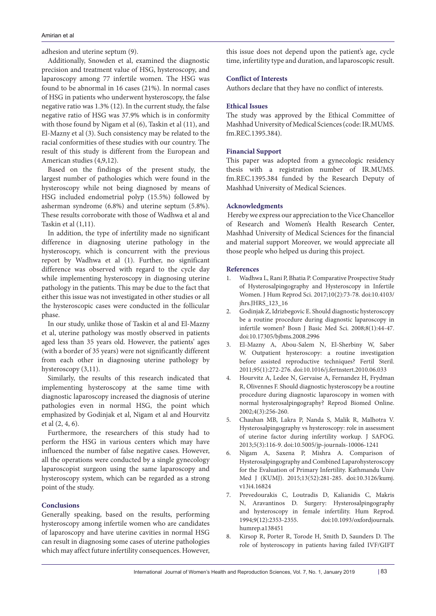adhesion and uterine septum (9).

Additionally, Snowden et al, examined the diagnostic precision and treatment value of HSG, hysteroscopy, and laparoscopy among 77 infertile women. The HSG was found to be abnormal in 16 cases (21%). In normal cases of HSG in patients who underwent hysteroscopy, the false negative ratio was 1.3% (12). In the current study, the false negative ratio of HSG was 37.9% which is in conformity with those found by Nigam et al (6), Taskin et al (11), and El-Mazny et al (3). Such consistency may be related to the racial conformities of these studies with our country. The result of this study is different from the European and American studies (4,9,12).

Based on the findings of the present study, the largest number of pathologies which were found in the hysteroscopy while not being diagnosed by means of HSG included endometrial polyp (15.5%) followed by asherman syndrome (6.8%) and uterine septum (5.8%). These results corroborate with those of Wadhwa et al and Taskin et al (1,11).

In addition, the type of infertility made no significant difference in diagnosing uterine pathology in the hysteroscopy, which is concurrent with the previous report by Wadhwa et al (1). Further, no significant difference was observed with regard to the cycle day while implementing hysteroscopy in diagnosing uterine pathology in the patients. This may be due to the fact that either this issue was not investigated in other studies or all the hysteroscopic cases were conducted in the follicular phase.

In our study, unlike those of Taskin et al and El-Mazny et al, uterine pathology was mostly observed in patients aged less than 35 years old. However, the patients' ages (with a border of 35 years) were not significantly different from each other in diagnosing uterine pathology by hysteroscopy (3,11).

Similarly, the results of this research indicated that implementing hysteroscopy at the same time with diagnostic laparoscopy increased the diagnosis of uterine pathologies even in normal HSG, the point which emphasized by Godinjak et al, Nigam et al and Hourvitz et al (2, 4, 6).

Furthermore, the researchers of this study had to perform the HSG in various centers which may have influenced the number of false negative cases. However, all the operations were conducted by a single gynecology laparoscopist surgeon using the same laparoscopy and hysteroscopy system, which can be regarded as a strong point of the study.

#### **Conclusions**

Generally speaking, based on the results, performing hysteroscopy among infertile women who are candidates of laparoscopy and have uterine cavities in normal HSG can result in diagnosing some cases of uterine pathologies which may affect future infertility consequences. However,

this issue does not depend upon the patient's age, cycle time, infertility type and duration, and laparoscopic result.

#### **Conflict of Interests**

Authors declare that they have no conflict of interests.

#### **Ethical Issues**

The study was approved by the Ethical Committee of Mashhad University of Medical Sciences (code: IR.MUMS. fm.REC.1395.384).

#### **Financial Support**

This paper was adopted from a gynecologic residency thesis with a registration number of IR.MUMS. fm.REC.1395.384 funded by the Research Deputy of Mashhad University of Medical Sciences.

#### **Acknowledgments**

 Hereby we express our appreciation to the Vice Chancellor of Research and Women's Health Research Center, Mashhad University of Medical Sciences for the financial and material support Moreover, we would appreciate all those people who helped us during this project.

#### **References**

- 1. Wadhwa L, Rani P, Bhatia P. Comparative Prospective Study of Hysterosalpingography and Hysteroscopy in Infertile Women. J Hum Reprod Sci. 2017;10(2):73-78. doi:10.4103/ jhrs.JHRS\_123\_16
- 2. Godinjak Z, Idrizbegovic E. Should diagnostic hysteroscopy be a routine procedure during diagnostic laparoscopy in infertile women? Bosn J Basic Med Sci. 2008;8(1):44-47. doi:10.17305/bjbms.2008.2996
- 3. El-Mazny A, Abou-Salem N, El-Sherbiny W, Saber W. Outpatient hysteroscopy: a routine investigation before assisted reproductive techniques? Fertil Steril. 2011;95(1):272-276. doi:10.1016/j.fertnstert.2010.06.033
- 4. Hourvitz A, Ledee N, Gervaise A, Fernandez H, Frydman R, Olivennes F. Should diagnostic hysteroscopy be a routine procedure during diagnostic laparoscopy in women with normal hysterosalpingography? Reprod Biomed Online. 2002;4(3):256-260.
- 5. Chauhan MB, Lakra P, Nanda S, Malik R, Malhotra V. Hysterosalpingography vs hysteroscopy: role in assessment of uterine factor during infertility workup. J SAFOG. 2013;5(3):116-9. doi:10.5005/jp-journals-10006-1241
- 6. Nigam A, Saxena P, Mishra A. Comparison of Hysterosalpingography and Combined Laparohysteroscopy for the Evaluation of Primary Infertility. Kathmandu Univ Med J (KUMJ). 2015;13(52):281-285. doi:10.3126/kumj. v13i4.16824
- 7. Prevedourakis C, Loutradis D, Kalianidis C, Makris N, Aravantinos D. Surgery: Hysterosalpingography and hysteroscopy in female infertility. Hum Reprod. 1994;9(12):2353-2355. doi:10.1093/oxfordjournals. humrep.a138451
- 8. Kirsop R, Porter R, Torode H, Smith D, Saunders D. The role of hysteroscopy in patients having failed IVF/GIFT